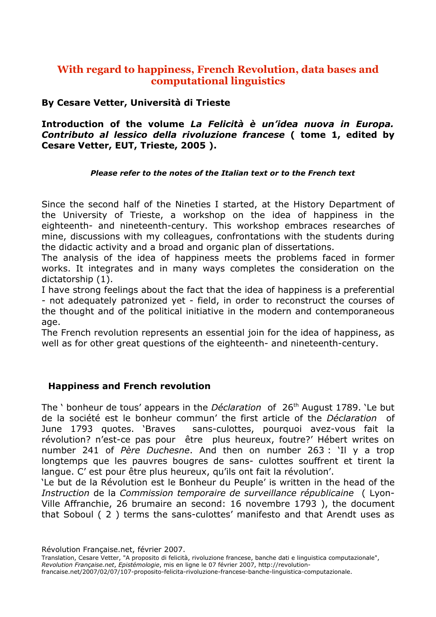# **With regard to happiness, French Revolution, data bases and computational linguistics**

### **By Cesare Vetter, Università di Trieste**

### **Introduction of the volume** *La Felicità è un'idea nuova in Europa. Contributo al lessico della rivoluzione francese* **( tome 1, edited by Cesare Vetter, EUT, Trieste, 2005 ).**

#### *Please refer to the notes of the Italian text or to the French text*

Since the second half of the Nineties I started, at the History Department of the University of Trieste, a workshop on the idea of happiness in the eighteenth- and nineteenth-century. This workshop embraces researches of mine, discussions with my colleagues, confrontations with the students during the didactic activity and a broad and organic plan of dissertations.

The analysis of the idea of happiness meets the problems faced in former works. It integrates and in many ways completes the consideration on the dictatorship (1).

I have strong feelings about the fact that the idea of happiness is a preferential - not adequately patronized yet - field, in order to reconstruct the courses of the thought and of the political initiative in the modern and contemporaneous age.

The French revolution represents an essential join for the idea of happiness, as well as for other great questions of the eighteenth- and nineteenth-century.

### **Happiness and French revolution**

The ' bonheur de tous' appears in the *Déclaration* of 26 th August 1789. 'Le but de la société est le bonheur commun' the first article of the *Déclaration* of June 1793 quotes. 'Braves sans-culottes, pourquoi avez-vous fait la révolution? n'est-ce pas pour être plus heureux, foutre?' Hébert writes on number 241 of *Père Duchesne*. And then on number 263 : 'Il y a trop longtemps que les pauvres bougres de sans- culottes souffrent et tirent la langue. C' est pour être plus heureux, qu'ils ont fait la révolution'.

'Le but de la Révolution est le Bonheur du Peuple' is written in the head of the *Instruction* de la *Commission temporaire de surveillance républicaine* ( Lyon-Ville Affranchie, 26 brumaire an second: 16 novembre 1793 ), the document that Soboul ( 2 ) terms the sans-culottes' manifesto and that Arendt uses as

Révolution Française.net, février 2007.

Translation, Cesare Vetter, "A proposito di felicità, rivoluzione francese, banche dati e linguistica computazionale", *Revolution Française.net*, *Epistémologie*, mis en ligne le 07 février 2007, http://revolution-

francaise.net/2007/02/07/107-proposito-felicita-rivoluzione-francese-banche-linguistica-computazionale.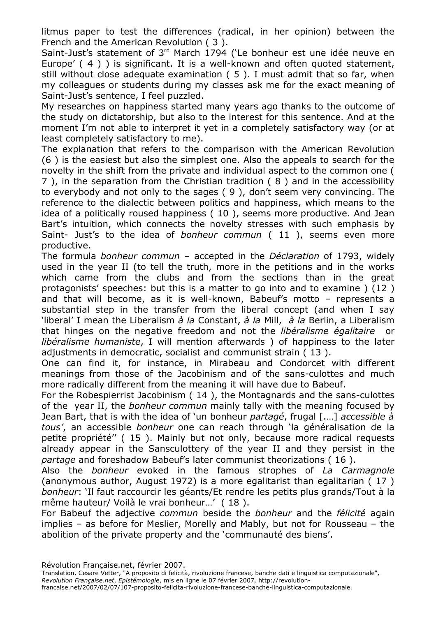litmus paper to test the differences (radical, in her opinion) between the French and the American Revolution ( 3 ).

Saint-Just's statement of 3<sup>rd</sup> March 1794 ('Le bonheur est une idée neuve en Europe' (4) ) is significant. It is a well-known and often quoted statement, still without close adequate examination ( 5 ). I must admit that so far, when my colleagues or students during my classes ask me for the exact meaning of Saint-Just's sentence, I feel puzzled.

My researches on happiness started many years ago thanks to the outcome of the study on dictatorship, but also to the interest for this sentence. And at the moment I'm not able to interpret it yet in a completely satisfactory way (or at least completely satisfactory to me).

The explanation that refers to the comparison with the American Revolution (6 ) is the easiest but also the simplest one. Also the appeals to search for the novelty in the shift from the private and individual aspect to the common one ( 7 ), in the separation from the Christian tradition ( 8 ) and in the accessibility to everybody and not only to the sages ( 9 ), don't seem very convincing. The reference to the dialectic between politics and happiness, which means to the idea of a politically roused happiness ( 10 ), seems more productive. And Jean Bart's intuition, which connects the novelty stresses with such emphasis by Saint- Just's to the idea of *bonheur commun* ( 11 ), seems even more productive.

The formula *bonheur commun* – accepted in the *Déclaration* of 1793, widely used in the year II (to tell the truth, more in the petitions and in the works which came from the clubs and from the sections than in the great protagonists' speeches: but this is a matter to go into and to examine ) (12 ) and that will become, as it is well-known, Babeuf's motto – represents a substantial step in the transfer from the liberal concept (and when I say 'liberal' I mean the Liberalism *à la* Constant, *à la* Mill, *à la* Berlin, a Liberalism that hinges on the negative freedom and not the *libéralisme égalitaire* or *libéralisme humaniste*, I will mention afterwards ) of happiness to the later adjustments in democratic, socialist and communist strain ( 13 ).

One can find it, for instance, in Mirabeau and Condorcet with different meanings from those of the Jacobinism and of the sans-culottes and much more radically different from the meaning it will have due to Babeuf.

For the Robespierrist Jacobinism ( 14 ), the Montagnards and the sans-culottes of the year II, the *bonheur commun* mainly tally with the meaning focused by Jean Bart, that is with the idea of 'un bonheur *partagé*, frugal [.…] *accessible à tous'*, an accessible *bonheur* one can reach through 'la généralisation de la petite propriété'' ( 15 ). Mainly but not only, because more radical requests already appear in the Sansculottery of the year II and they persist in the *partage* and foreshadow Babeuf's later communist theorizations ( 16 ).

Also the *bonheur* evoked in the famous strophes of *La Carmagnole* (anonymous author, August 1972) is a more egalitarist than egalitarian ( 17 ) *bonheur*: 'Il faut raccourcir les géants/Et rendre les petits plus grands/Tout à la même hauteur/ Voilà le vrai bonheur…' ( 18 ).

For Babeuf the adjective *commun* beside the *bonheur* and the *félicité* again implies – as before for Meslier, Morelly and Mably, but not for Rousseau – the abolition of the private property and the 'communauté des biens'.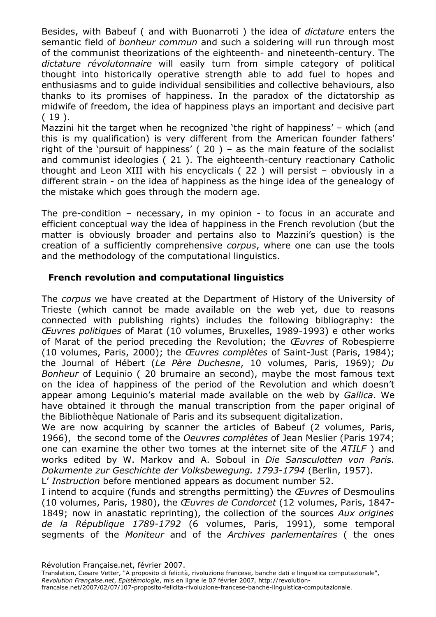Besides, with Babeuf ( and with Buonarroti ) the idea of *dictature* enters the semantic field of *bonheur commun* and such a soldering will run through most of the communist theorizations of the eighteenth- and nineteenth-century. The *dictature révolutonnaire* will easily turn from simple category of political thought into historically operative strength able to add fuel to hopes and enthusiasms and to guide individual sensibilities and collective behaviours, also thanks to its promises of happiness. In the paradox of the dictatorship as midwife of freedom, the idea of happiness plays an important and decisive part  $(19)$ .

Mazzini hit the target when he recognized 'the right of happiness' – which (and this is my qualification) is very different from the American founder fathers' right of the 'pursuit of happiness'  $(20)$  – as the main feature of the socialist and communist ideologies ( 21 ). The eighteenth-century reactionary Catholic thought and Leon XIII with his encyclicals ( 22 ) will persist – obviously in a different strain - on the idea of happiness as the hinge idea of the genealogy of the mistake which goes through the modern age.

The pre-condition – necessary, in my opinion - to focus in an accurate and efficient conceptual way the idea of happiness in the French revolution (but the matter is obviously broader and pertains also to Mazzini's question) is the creation of a sufficiently comprehensive *corpus*, where one can use the tools and the methodology of the computational linguistics.

## **French revolution and computational linguistics**

The *corpus* we have created at the Department of History of the University of Trieste (which cannot be made available on the web yet, due to reasons connected with publishing rights) includes the following bibliography: the *Œuvres politiques* of Marat (10 volumes, Bruxelles, 1989-1993) e other works of Marat of the period preceding the Revolution; the *Œuvres* of Robespierre (10 volumes, Paris, 2000); the *Œuvres complètes* of Saint-Just (Paris, 1984); the Journal of Hébert (*Le Père Duchesne*, 10 volumes, Paris, 1969); *Du Bonheur* of Lequinio ( 20 brumaire an second), maybe the most famous text on the idea of happiness of the period of the Revolution and which doesn't appear among Lequinio's material made available on the web by *Gallica*. We have obtained it through the manual transcription from the paper original of the Bibliothèque Nationale of Paris and its subsequent digitalization.

We are now acquiring by scanner the articles of Babeuf (2 volumes, Paris, 1966), the second tome of the *Oeuvres complètes* of Jean Meslier (Paris 1974; one can examine the other two tomes at the internet site of the *ATILF* ) and works edited by W. Markov and A. Soboul in *Die Sansculotten von Paris. Dokumente zur Geschichte der Volksbewegung. 1793-1794* (Berlin, 1957).

L' *Instruction* before mentioned appears as document number 52.

I intend to acquire (funds and strengths permitting) the *Œuvres* of Desmoulins (10 volumes, Paris, 1980), the *Œuvres de Condorcet* (12 volumes, Paris, 1847- 1849; now in anastatic reprinting), the collection of the sources *Aux origines de la République 1789-1792* (6 volumes, Paris, 1991), some temporal segments of the *Moniteur* and of the *Archives parlementaires* ( the ones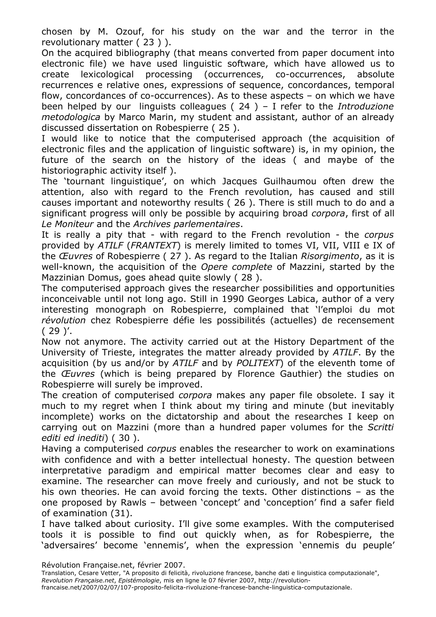chosen by M. Ozouf, for his study on the war and the terror in the revolutionary matter ( 23 ) ).

On the acquired bibliography (that means converted from paper document into electronic file) we have used linguistic software, which have allowed us to create lexicological processing (occurrences, co-occurrences, absolute recurrences e relative ones, expressions of sequence, concordances, temporal flow, concordances of co-occurrences). As to these aspects – on which we have been helped by our linguists colleagues ( 24 ) – I refer to the *Introduzione metodologica* by Marco Marin, my student and assistant, author of an already discussed dissertation on Robespierre ( 25 ).

I would like to notice that the computerised approach (the acquisition of electronic files and the application of linguistic software) is, in my opinion, the future of the search on the history of the ideas ( and maybe of the historiographic activity itself ).

The 'tournant linguistique', on which Jacques Guilhaumou often drew the attention, also with regard to the French revolution, has caused and still causes important and noteworthy results ( 26 ). There is still much to do and a significant progress will only be possible by acquiring broad *corpora*, first of all *Le Moniteur* and the *Archives parlementaires*.

It is really a pity that - with regard to the French revolution - the *corpus* provided by *ATILF* (*FRANTEXT*) is merely limited to tomes VI, VII, VIII e IX of the *Œuvres* of Robespierre ( 27 ). As regard to the Italian *Risorgimento*, as it is well-known, the acquisition of the *Opere complete* of Mazzini, started by the Mazzinian Domus, goes ahead quite slowly ( 28 ).

The computerised approach gives the researcher possibilities and opportunities inconceivable until not long ago. Still in 1990 Georges Labica, author of a very interesting monograph on Robespierre, complained that 'l'emploi du mot *révolution* chez Robespierre défie les possibilités (actuelles) de recensement  $(29)'$ .

Now not anymore. The activity carried out at the History Department of the University of Trieste, integrates the matter already provided by *ATILF*. By the acquisition (by us and/or by *ATILF* and by *POLITEXT*) of the eleventh tome of the *Œuvres* (which is being prepared by Florence Gauthier) the studies on Robespierre will surely be improved.

The creation of computerised *corpora* makes any paper file obsolete. I say it much to my regret when I think about my tiring and minute (but inevitably incomplete) works on the dictatorship and about the researches I keep on carrying out on Mazzini (more than a hundred paper volumes for the *Scritti editi ed inediti*) ( 30 ).

Having a computerised *corpus* enables the researcher to work on examinations with confidence and with a better intellectual honesty. The question between interpretative paradigm and empirical matter becomes clear and easy to examine. The researcher can move freely and curiously, and not be stuck to his own theories. He can avoid forcing the texts. Other distinctions – as the one proposed by Rawls – between 'concept' and 'conception' find a safer field of examination (31).

I have talked about curiosity. I'll give some examples. With the computerised tools it is possible to find out quickly when, as for Robespierre, the 'adversaires' become 'ennemis', when the expression 'ennemis du peuple'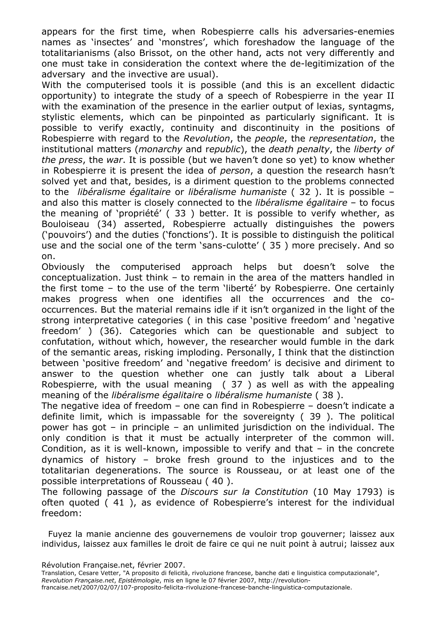appears for the first time, when Robespierre calls his adversaries-enemies names as 'insectes' and 'monstres', which foreshadow the language of the totalitarianisms (also Brissot, on the other hand, acts not very differently and one must take in consideration the context where the de-legitimization of the adversary and the invective are usual).

With the computerised tools it is possible (and this is an excellent didactic opportunity) to integrate the study of a speech of Robespierre in the year II with the examination of the presence in the earlier output of lexias, syntagms, stylistic elements, which can be pinpointed as particularly significant. It is possible to verify exactly, continuity and discontinuity in the positions of Robespierre with regard to the *Revolution*, the *people*, the *representation*, the institutional matters (*monarchy* and r*epublic*), the *death penalty*, the *liberty of the press*, the *war*. It is possible (but we haven't done so yet) to know whether in Robespierre it is present the idea of *person*, a question the research hasn't solved yet and that, besides, is a diriment question to the problems connected to the *libéralisme égalitaire* or *libéralisme humaniste* ( 32 ). It is possible – and also this matter is closely connected to the *libéralisme égalitaire* – to focus the meaning of 'propriété' ( 33 ) better. It is possible to verify whether, as Bouloiseau (34) asserted, Robespierre actually distinguishes the powers ('pouvoirs') and the duties ('fonctions'). It is possible to distinguish the political use and the social one of the term 'sans-culotte' ( 35 ) more precisely. And so on.

Obviously the computerised approach helps but doesn't solve the conceptualization. Just think – to remain in the area of the matters handled in the first tome – to the use of the term 'liberté' by Robespierre. One certainly makes progress when one identifies all the occurrences and the cooccurrences. But the material remains idle if it isn't organized in the light of the strong interpretative categories ( in this case 'positive freedom' and 'negative freedom' ) (36). Categories which can be questionable and subject to confutation, without which, however, the researcher would fumble in the dark of the semantic areas, risking imploding. Personally, I think that the distinction between 'positive freedom' and 'negative freedom' is decisive and diriment to answer to the question whether one can justly talk about a Liberal Robespierre, with the usual meaning ( 37 ) as well as with the appealing meaning of the *libéralisme égalitaire* o *libéralisme humaniste* ( 38 ).

The negative idea of freedom – one can find in Robespierre – doesn't indicate a definite limit, which is impassable for the sovereignty ( 39 ). The political power has got – in principle – an unlimited jurisdiction on the individual. The only condition is that it must be actually interpreter of the common will. Condition, as it is well-known, impossible to verify and that – in the concrete dynamics of history – broke fresh ground to the injustices and to the totalitarian degenerations. The source is Rousseau, or at least one of the possible interpretations of Rousseau ( 40 ).

The following passage of the *Discours sur la Constitution* (10 May 1793) is often quoted ( 41 ), as evidence of Robespierre's interest for the individual freedom:

Fuyez la manie ancienne des gouvernemens de vouloir trop gouverner; laissez aux individus, laissez aux familles le droit de faire ce qui ne nuit point à autrui; laissez aux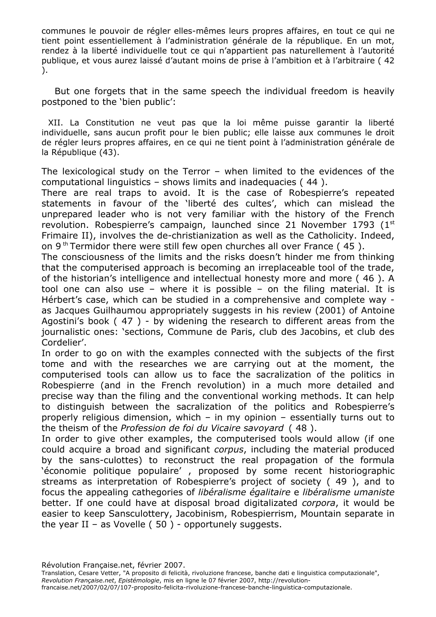communes le pouvoir de régler elles-mêmes leurs propres affaires, en tout ce qui ne tient point essentiellement à l'administration générale de la république. En un mot, rendez à la liberté individuelle tout ce qui n'appartient pas naturellement à l'autorité publique, et vous aurez laissé d'autant moins de prise à l'ambition et à l'arbitraire ( 42 ).

But one forgets that in the same speech the individual freedom is heavily postponed to the 'bien public':

XII. La Constitution ne veut pas que la loi même puisse garantir la liberté individuelle, sans aucun profit pour le bien public; elle laisse aux communes le droit de régler leurs propres affaires, en ce qui ne tient point à l'administration générale de la République (43).

The lexicological study on the Terror – when limited to the evidences of the computational linguistics – shows limits and inadequacies ( 44 ).

There are real traps to avoid. It is the case of Robespierre's repeated statements in favour of the 'liberté des cultes', which can mislead the unprepared leader who is not very familiar with the history of the French revolution. Robespierre's campaign, launched since 21 November 1793 (1st Frimaire II), involves the de-christianization as well as the Catholicity. Indeed, on 9<sup>th</sup> Termidor there were still few open churches all over France  $(45)$ .

The consciousness of the limits and the risks doesn't hinder me from thinking that the computerised approach is becoming an irreplaceable tool of the trade, of the historian's intelligence and intellectual honesty more and more ( 46 ). A tool one can also use – where it is possible – on the filing material. It is Hérbert's case, which can be studied in a comprehensive and complete way as Jacques Guilhaumou appropriately suggests in his review (2001) of Antoine Agostini's book ( 47 ) - by widening the research to different areas from the journalistic ones: 'sections, Commune de Paris, club des Jacobins, et club des Cordelier'.

In order to go on with the examples connected with the subjects of the first tome and with the researches we are carrying out at the moment, the computerised tools can allow us to face the sacralization of the politics in Robespierre (and in the French revolution) in a much more detailed and precise way than the filing and the conventional working methods. It can help to distinguish between the sacralization of the politics and Robespierre's properly religious dimension, which – in my opinion – essentially turns out to the theism of the *Profession de foi du Vicaire savoyard* ( 48 ).

In order to give other examples, the computerised tools would allow (if one could acquire a broad and significant *corpus*, including the material produced by the sans-culottes) to reconstruct the real propagation of the formula 'économie politique populaire' , proposed by some recent historiographic streams as interpretation of Robespierre's project of society ( 49 ), and to focus the appealing cathegories of *libéralisme égalitaire* e *libéralisme umaniste* better. If one could have at disposal broad digitalizated *corpora*, it would be easier to keep Sansculottery, Jacobinism, Robespierrism, Mountain separate in the year II – as Vovelle  $(50)$  - opportunely suggests.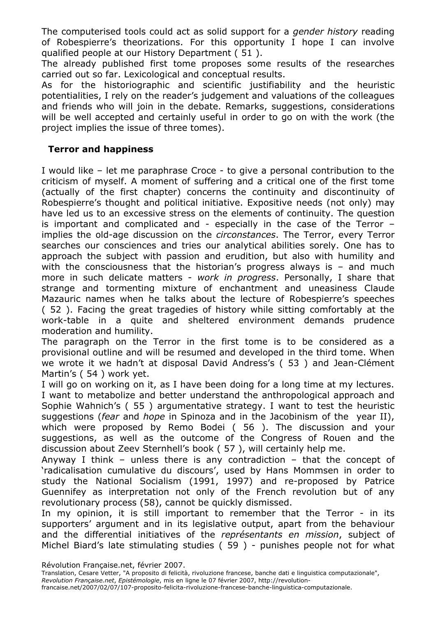The computerised tools could act as solid support for a *gender history* reading of Robespierre's theorizations. For this opportunity I hope I can involve qualified people at our History Department ( 51 ).

The already published first tome proposes some results of the researches carried out so far. Lexicological and conceptual results.

As for the historiographic and scientific justifiability and the heuristic potentialities, I rely on the reader's judgement and valuations of the colleagues and friends who will join in the debate. Remarks, suggestions, considerations will be well accepted and certainly useful in order to go on with the work (the project implies the issue of three tomes).

#### **Terror and happiness**

I would like – let me paraphrase Croce - to give a personal contribution to the criticism of myself. A moment of suffering and a critical one of the first tome (actually of the first chapter) concerns the continuity and discontinuity of Robespierre's thought and political initiative. Expositive needs (not only) may have led us to an excessive stress on the elements of continuity. The question is important and complicated and - especially in the case of the Terror – implies the old-age discussion on the *circonstances*. The Terror, every Terror searches our consciences and tries our analytical abilities sorely. One has to approach the subject with passion and erudition, but also with humility and with the consciousness that the historian's progress always is  $-$  and much more in such delicate matters - *work in progress*. Personally, I share that strange and tormenting mixture of enchantment and uneasiness Claude Mazauric names when he talks about the lecture of Robespierre's speeches ( 52 ). Facing the great tragedies of history while sitting comfortably at the work-table in a quite and sheltered environment demands prudence moderation and humility.

The paragraph on the Terror in the first tome is to be considered as a provisional outline and will be resumed and developed in the third tome. When we wrote it we hadn't at disposal David Andress's ( 53 ) and Jean-Clément Martin's ( 54 ) work yet.

I will go on working on it, as I have been doing for a long time at my lectures. I want to metabolize and better understand the anthropological approach and Sophie Wahnich's ( 55 ) argumentative strategy. I want to test the heuristic suggestions (*fear* and *hope* in Spinoza and in the Jacobinism of the year II), which were proposed by Remo Bodei ( 56 ). The discussion and your suggestions, as well as the outcome of the Congress of Rouen and the discussion about Zeev Sternhell's book ( 57 ), will certainly help me.

Anyway I think – unless there is any contradiction – that the concept of 'radicalisation cumulative du discours', used by Hans Mommsen in order to study the National Socialism (1991, 1997) and re-proposed by Patrice Guennifey as interpretation not only of the French revolution but of any revolutionary process (58), cannot be quickly dismissed.

In my opinion, it is still important to remember that the Terror - in its supporters' argument and in its legislative output, apart from the behaviour and the differential initiatives of the *représentants en mission*, subject of Michel Biard's late stimulating studies ( 59 ) - punishes people not for what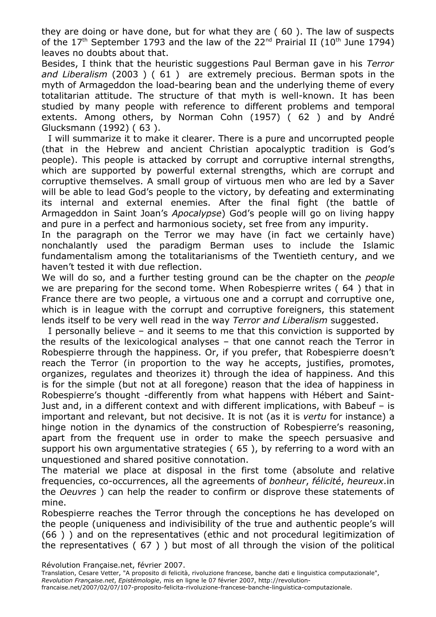they are doing or have done, but for what they are ( 60 ). The law of suspects of the  $17<sup>th</sup>$  September 1793 and the law of the 22<sup>nd</sup> Prairial II (10<sup>th</sup> June 1794) leaves no doubts about that.

Besides, I think that the heuristic suggestions Paul Berman gave in his *Terror and Liberalism* (2003 ) ( 61 ) are extremely precious. Berman spots in the myth of Armageddon the load-bearing bean and the underlying theme of every totalitarian attitude. The structure of that myth is well-known. It has been studied by many people with reference to different problems and temporal extents. Among others, by Norman Cohn (1957) ( 62 ) and by André Glucksmann (1992) ( 63 ).

I will summarize it to make it clearer. There is a pure and uncorrupted people (that in the Hebrew and ancient Christian apocalyptic tradition is God's people). This people is attacked by corrupt and corruptive internal strengths, which are supported by powerful external strengths, which are corrupt and corruptive themselves. A small group of virtuous men who are led by a Saver will be able to lead God's people to the victory, by defeating and exterminating its internal and external enemies. After the final fight (the battle of Armageddon in Saint Joan's *Apocalypse*) God's people will go on living happy and pure in a perfect and harmonious society, set free from any impurity.

In the paragraph on the Terror we may have (in fact we certainly have) nonchalantly used the paradigm Berman uses to include the Islamic fundamentalism among the totalitarianisms of the Twentieth century, and we haven't tested it with due reflection.

We will do so, and a further testing ground can be the chapter on the *people* we are preparing for the second tome. When Robespierre writes ( 64 ) that in France there are two people, a virtuous one and a corrupt and corruptive one, which is in league with the corrupt and corruptive foreigners, this statement lends itself to be very well read in the way *Terror and Liberalism* suggested.

I personally believe – and it seems to me that this conviction is supported by the results of the lexicological analyses – that one cannot reach the Terror in Robespierre through the happiness. Or, if you prefer, that Robespierre doesn't reach the Terror (in proportion to the way he accepts, justifies, promotes, organizes, regulates and theorizes it) through the idea of happiness. And this is for the simple (but not at all foregone) reason that the idea of happiness in Robespierre's thought -differently from what happens with Hébert and Saint-Just and, in a different context and with different implications, with Babeuf – is important and relevant, but not decisive. It is not (as it is *vertu* for instance) a hinge notion in the dynamics of the construction of Robespierre's reasoning, apart from the frequent use in order to make the speech persuasive and support his own argumentative strategies ( 65 ), by referring to a word with an unquestioned and shared positive connotation.

The material we place at disposal in the first tome (absolute and relative frequencies, co-occurrences, all the agreements of *bonheur*, *félicité*, *heureux*.in the *Oeuvres* ) can help the reader to confirm or disprove these statements of mine.

Robespierre reaches the Terror through the conceptions he has developed on the people (uniqueness and indivisibility of the true and authentic people's will (66 ) ) and on the representatives (ethic and not procedural legitimization of the representatives ( 67 ) ) but most of all through the vision of the political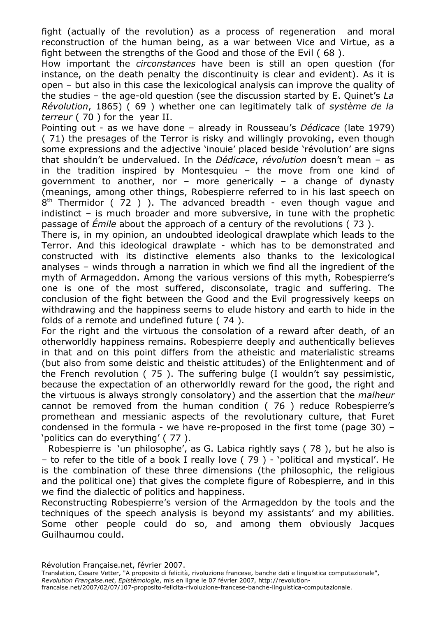fight (actually of the revolution) as a process of regeneration and moral reconstruction of the human being, as a war between Vice and Virtue, as a fight between the strengths of the Good and those of the Evil ( 68 ).

How important the *circonstances* have been is still an open question (for instance, on the death penalty the discontinuity is clear and evident). As it is open – but also in this case the lexicological analysis can improve the quality of the studies – the age-old question (see the discussion started by E. Quinet's *La Révolution*, 1865) ( 69 ) whether one can legitimately talk of *système de la terreur* ( 70 ) for the year II.

Pointing out - as we have done – already in Rousseau's *Dédicace* (late 1979) ( 71) the presages of the Terror is risky and willingly provoking, even though some expressions and the adjective 'inouie' placed beside 'révolution' are signs that shouldn't be undervalued. In the *Dédicace*, *révolution* doesn't mean – as in the tradition inspired by Montesquieu – the move from one kind of government to another, nor – more generically – a change of dynasty (meanings, among other things, Robespierre referred to in his last speech on  $8<sup>th</sup>$  Thermidor ( 72 ) ). The advanced breadth - even though vague and indistinct – is much broader and more subversive, in tune with the prophetic passage of *Émile* about the approach of a century of the revolutions ( 73 ).

There is, in my opinion, an undoubted ideological drawplate which leads to the Terror. And this ideological drawplate - which has to be demonstrated and constructed with its distinctive elements also thanks to the lexicological analyses – winds through a narration in which we find all the ingredient of the myth of Armageddon. Among the various versions of this myth, Robespierre's one is one of the most suffered, disconsolate, tragic and suffering. The conclusion of the fight between the Good and the Evil progressively keeps on withdrawing and the happiness seems to elude history and earth to hide in the folds of a remote and undefined future ( 74 ).

For the right and the virtuous the consolation of a reward after death, of an otherworldly happiness remains. Robespierre deeply and authentically believes in that and on this point differs from the atheistic and materialistic streams (but also from some deistic and theistic attitudes) of the Enlightenment and of the French revolution ( 75 ). The suffering bulge (I wouldn't say pessimistic, because the expectation of an otherworldly reward for the good, the right and the virtuous is always strongly consolatory) and the assertion that the *malheur* cannot be removed from the human condition ( 76 ) reduce Robespierre's promethean and messianic aspects of the revolutionary culture, that Furet condensed in the formula - we have re-proposed in the first tome (page 30) – 'politics can do everything' ( 77 ).

Robespierre is 'un philosophe', as G. Labica rightly says ( 78 ), but he also is – to refer to the title of a book I really love ( 79 ) - 'political and mystical'. He is the combination of these three dimensions (the philosophic, the religious and the political one) that gives the complete figure of Robespierre, and in this we find the dialectic of politics and happiness.

Reconstructing Robespierre's version of the Armageddon by the tools and the techniques of the speech analysis is beyond my assistants' and my abilities. Some other people could do so, and among them obviously Jacques Guilhaumou could.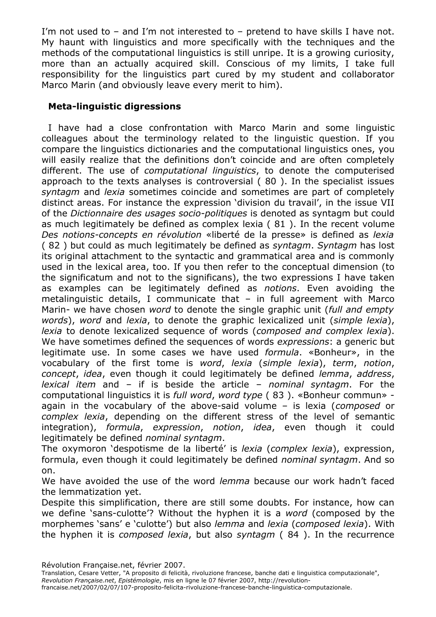I'm not used to – and I'm not interested to – pretend to have skills I have not. My haunt with linguistics and more specifically with the techniques and the methods of the computational linguistics is still unripe. It is a growing curiosity, more than an actually acquired skill. Conscious of my limits, I take full responsibility for the linguistics part cured by my student and collaborator Marco Marin (and obviously leave every merit to him).

## **Meta-linguistic digressions**

I have had a close confrontation with Marco Marin and some linguistic colleagues about the terminology related to the linguistic question. If you compare the linguistics dictionaries and the computational linguistics ones, you will easily realize that the definitions don't coincide and are often completely different. The use of *computational linguistics*, to denote the computerised approach to the texts analyses is controversial ( 80 ). In the specialist issues *syntagm* and *lexia* sometimes coincide and sometimes are part of completely distinct areas. For instance the expression 'division du travail', in the issue VII of the *Dictionnaire des usages socio-politiques* is denoted as syntagm but could as much legitimately be defined as complex lexia ( 81 ). In the recent volume *Des notions-concepts en révolution* «liberté de la presse» is defined as *lexia* ( 82 ) but could as much legitimately be defined as *syntagm*. *Syntagm* has lost its original attachment to the syntactic and grammatical area and is commonly used in the lexical area, too. If you then refer to the conceptual dimension (to the significatum and not to the significans), the two expressions I have taken as examples can be legitimately defined as *notions*. Even avoiding the metalinguistic details, I communicate that – in full agreement with Marco Marin- we have chosen *word* to denote the single graphic unit (*full and empty words*), *word* and *lexia*, to denote the graphic lexicalized unit (*simple lexia*), *lexia* to denote lexicalized sequence of words (*composed and complex lexia*). We have sometimes defined the sequences of words *expressions*: a generic but legitimate use. In some cases we have used *formula*. «Bonheur», in the vocabulary of the first tome is *word*, *lexia* (*simple lexia*), *term*, *notion*, *concept*, *idea*, even though it could legitimately be defined *lemma*, *address*, *lexical item* and – if is beside the article – *nominal syntagm*. For the computational linguistics it is *full word*, *word type* ( 83 ). «Bonheur commun» again in the vocabulary of the above-said volume – is lexia (*composed* or *complex lexia*, depending on the different stress of the level of semantic integration), *formula*, *expression*, *notion*, *idea*, even though it could legitimately be defined *nominal syntagm*.

The oxymoron 'despotisme de la liberté' is *lexia* (*complex lexia*), expression, formula, even though it could legitimately be defined *nominal syntagm*. And so on.

We have avoided the use of the word *lemma* because our work hadn't faced the lemmatization yet.

Despite this simplification, there are still some doubts. For instance, how can we define 'sans-culotte'? Without the hyphen it is a *word* (composed by the morphemes 'sans' e 'culotte') but also *lemma* and *lexia* (*composed lexia*). With the hyphen it is *composed lexia*, but also *syntagm* ( 84 ). In the recurrence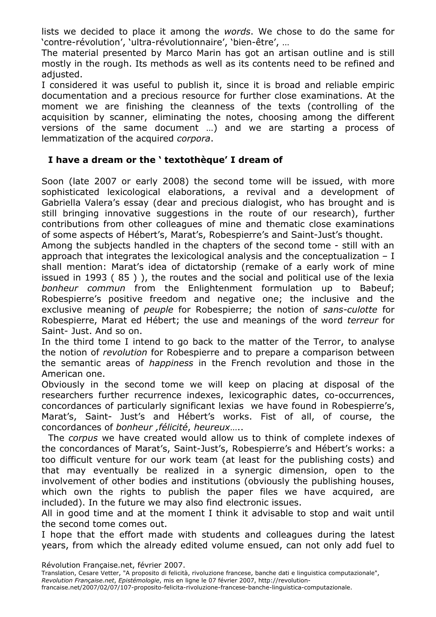lists we decided to place it among the *words*. We chose to do the same for 'contre-révolution', 'ultra-révolutionnaire', 'bien-être', …

The material presented by Marco Marin has got an artisan outline and is still mostly in the rough. Its methods as well as its contents need to be refined and adjusted.

I considered it was useful to publish it, since it is broad and reliable empiric documentation and a precious resource for further close examinations. At the moment we are finishing the cleanness of the texts (controlling of the acquisition by scanner, eliminating the notes, choosing among the different versions of the same document …) and we are starting a process of lemmatization of the acquired *corpora*.

## **I have a dream or the ' textothèque' I dream of**

Soon (late 2007 or early 2008) the second tome will be issued, with more sophisticated lexicological elaborations, a revival and a development of Gabriella Valera's essay (dear and precious dialogist, who has brought and is still bringing innovative suggestions in the route of our research), further contributions from other colleagues of mine and thematic close examinations of some aspects of Hébert's, Marat's, Robespierre's and Saint-Just's thought.

Among the subjects handled in the chapters of the second tome - still with an approach that integrates the lexicological analysis and the conceptualization  $- I$ shall mention: Marat's idea of dictatorship (remake of a early work of mine issued in 1993 ( 85 ) ), the routes and the social and political use of the lexia *bonheur commun* from the Enlightenment formulation up to Babeuf; Robespierre's positive freedom and negative one; the inclusive and the exclusive meaning of *peuple* for Robespierre; the notion of *sans-culotte* for Robespierre, Marat ed Hébert; the use and meanings of the word *terreur* for Saint- Just. And so on.

In the third tome I intend to go back to the matter of the Terror, to analyse the notion of *revolution* for Robespierre and to prepare a comparison between the semantic areas of *happiness* in the French revolution and those in the American one.

Obviously in the second tome we will keep on placing at disposal of the researchers further recurrence indexes, lexicographic dates, co-occurrences, concordances of particularly significant lexias we have found in Robespierre's, Marat's, Saint- Just's and Hébert's works. Fist of all, of course, the concordances of *bonheur ,félicité*, *heureux*…..

The *corpus* we have created would allow us to think of complete indexes of the concordances of Marat's, Saint-Just's, Robespierre's and Hébert's works: a too difficult venture for our work team (at least for the publishing costs) and that may eventually be realized in a synergic dimension, open to the involvement of other bodies and institutions (obviously the publishing houses, which own the rights to publish the paper files we have acquired, are included). In the future we may also find electronic issues.

All in good time and at the moment I think it advisable to stop and wait until the second tome comes out.

I hope that the effort made with students and colleagues during the latest years, from which the already edited volume ensued, can not only add fuel to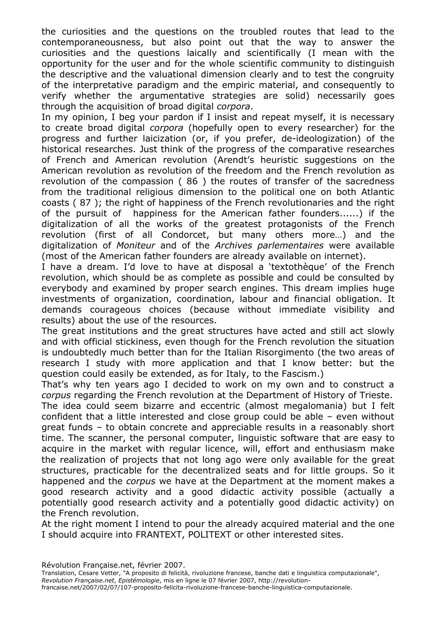the curiosities and the questions on the troubled routes that lead to the contemporaneousness, but also point out that the way to answer the curiosities and the questions laically and scientifically (I mean with the opportunity for the user and for the whole scientific community to distinguish the descriptive and the valuational dimension clearly and to test the congruity of the interpretative paradigm and the empiric material, and consequently to verify whether the argumentative strategies are solid) necessarily goes through the acquisition of broad digital *corpora*.

In my opinion, I beg your pardon if I insist and repeat myself, it is necessary to create broad digital *corpora* (hopefully open to every researcher) for the progress and further laicization (or, if you prefer, de-ideologization) of the historical researches. Just think of the progress of the comparative researches of French and American revolution (Arendt's heuristic suggestions on the American revolution as revolution of the freedom and the French revolution as revolution of the compassion ( 86 ) the routes of transfer of the sacredness from the traditional religious dimension to the political one on both Atlantic coasts ( 87 ); the right of happiness of the French revolutionaries and the right of the pursuit of happiness for the American father founders......) if the digitalization of all the works of the greatest protagonists of the French revolution (first of all Condorcet, but many others more…) and the digitalization of *Moniteur* and of the *Archives parlementaires* were available (most of the American father founders are already available on internet).

I have a dream. I'd love to have at disposal a 'textothèque' of the French revolution, which should be as complete as possible and could be consulted by everybody and examined by proper search engines. This dream implies huge investments of organization, coordination, labour and financial obligation. It demands courageous choices (because without immediate visibility and results) about the use of the resources.

The great institutions and the great structures have acted and still act slowly and with official stickiness, even though for the French revolution the situation is undoubtedly much better than for the Italian Risorgimento (the two areas of research I study with more application and that I know better: but the question could easily be extended, as for Italy, to the Fascism.)

That's why ten years ago I decided to work on my own and to construct a *corpus* regarding the French revolution at the Department of History of Trieste. The idea could seem bizarre and eccentric (almost megalomania) but I felt confident that a little interested and close group could be able – even without great funds – to obtain concrete and appreciable results in a reasonably short time. The scanner, the personal computer, linguistic software that are easy to acquire in the market with regular licence, will, effort and enthusiasm make the realization of projects that not long ago were only available for the great structures, practicable for the decentralized seats and for little groups. So it happened and the *corpus* we have at the Department at the moment makes a good research activity and a good didactic activity possible (actually a potentially good research activity and a potentially good didactic activity) on the French revolution.

At the right moment I intend to pour the already acquired material and the one I should acquire into FRANTEXT, POLITEXT or other interested sites.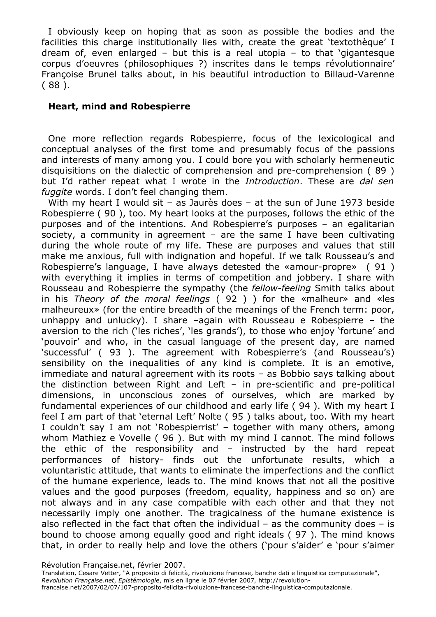I obviously keep on hoping that as soon as possible the bodies and the facilities this charge institutionally lies with, create the great 'textothèque' I dream of, even enlarged – but this is a real utopia – to that 'gigantesque corpus d'oeuvres (philosophiques ?) inscrites dans le temps révolutionnaire' Françoise Brunel talks about, in his beautiful introduction to Billaud-Varenne ( 88 ).

#### **Heart, mind and Robespierre**

One more reflection regards Robespierre, focus of the lexicological and conceptual analyses of the first tome and presumably focus of the passions and interests of many among you. I could bore you with scholarly hermeneutic disquisitions on the dialectic of comprehension and pre-comprehension ( 89 ) but I'd rather repeat what I wrote in the *Introduction*. These are *dal sen fuggite* words. I don't feel changing them.

With my heart I would sit – as Jaurès does – at the sun of June 1973 beside Robespierre ( 90 ), too. My heart looks at the purposes, follows the ethic of the purposes and of the intentions. And Robespierre's purposes – an egalitarian society, a community in agreement – are the same I have been cultivating during the whole route of my life. These are purposes and values that still make me anxious, full with indignation and hopeful. If we talk Rousseau's and Robespierre's language, I have always detested the «amour-propre» ( 91 ) with everything it implies in terms of competition and jobbery. I share with Rousseau and Robespierre the sympathy (the *fellow-feeling* Smith talks about in his *Theory of the moral feelings* ( 92 ) ) for the «malheur» and «les malheureux» (for the entire breadth of the meanings of the French term: poor, unhappy and unlucky). I share –again with Rousseau e Robespierre – the aversion to the rich ('les riches', 'les grands'), to those who enjoy 'fortune' and 'pouvoir' and who, in the casual language of the present day, are named 'successful' ( 93 ). The agreement with Robespierre's (and Rousseau's) sensibility on the inequalities of any kind is complete. It is an emotive, immediate and natural agreement with its roots – as Bobbio says talking about the distinction between Right and Left – in pre-scientific and pre-political dimensions, in unconscious zones of ourselves, which are marked by fundamental experiences of our childhood and early life ( 94 ). With my heart I feel I am part of that 'eternal Left' Nolte ( 95 ) talks about, too. With my heart I couldn't say I am not 'Robespierrist' – together with many others, among whom Mathiez e Vovelle ( 96 ). But with my mind I cannot. The mind follows the ethic of the responsibility and – instructed by the hard repeat performances of history- finds out the unfortunate results, which a voluntaristic attitude, that wants to eliminate the imperfections and the conflict of the humane experience, leads to. The mind knows that not all the positive values and the good purposes (freedom, equality, happiness and so on) are not always and in any case compatible with each other and that they not necessarily imply one another. The tragicalness of the humane existence is also reflected in the fact that often the individual  $-$  as the community does  $-$  is bound to choose among equally good and right ideals ( 97 ). The mind knows that, in order to really help and love the others ('pour s'aider' e 'pour s'aimer